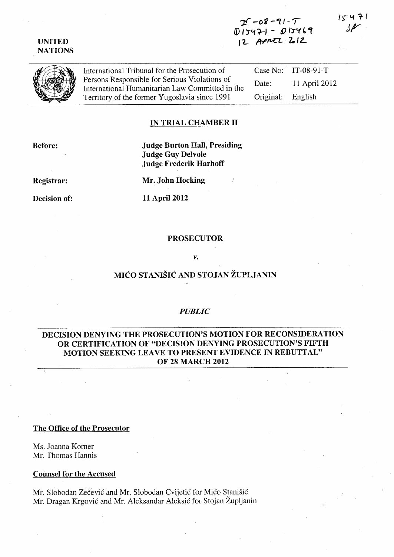#### UNITED NATIONS

# $2^{r}$  -08 -91 -  $T$  $D15471 - D15469$ 12 APMTL 2012

International Tribunal for the Prosecution of Persons Responsible for Serious Violations of International Humanitarian Law Committed in the Territory of the former Yugoslavia since 1991

Case No: IT-08-91-T Date: 11 April 2012 Original: English

### IN TRIAL CHAMBER 11

Before:

### Judge Burton Hall, Presiding Judge Guy Delvoie Judge Frederik Harhoff

Registrar:

Mr. John Hocking

Decision of:

11 April 2012

#### PROSECUTOR

*v.* 

# MICO STANISIC AND STOJAN ZUPLJANIN

### *PUBLIC*

### DECISION DENYING THE PROSECUTION'S MOTION FOR RECONSIDERATION OR CERTIFICATION OF "DECISION DENYING PROSECUTION'S FIFTH MOTION SEEKING LEAVE TO PRESENT EVIDENCE IN REBUTTAL" OF 28 MARCH 2012

The Office of the Prosecutor

Ms. Joanna Korner Mr. Thomas Hannis

Counsel for the Accused

Mr. Slobodan Zecevic and Mr. Slobodan Cvijetic for Mico Stanisic Mr. Dragan Krgović and Mr. Aleksandar Aleksić for Stojan Župljanin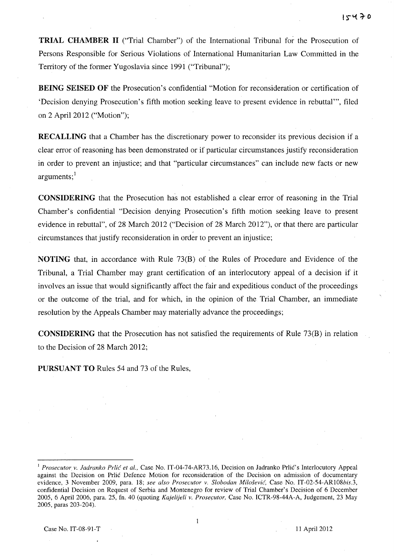**TRIAL CHAMBER 11** ("Trial Chamber") of the International Tribunal for the Prosecution of Persons Responsible for Serious Violations of International Humanitarian Law Committed in the Territory of the former Yugoslavia since 1991 ("Tribunal");

**BEING SEISED OF** the Prosecution's confidential "Motion for reconsideration or certification of 'Decision denying Prosecution's fifth motion seeking leave to present evidence in rebuttal"', filed on 2 April 2012 ("Motion");

**RECALLING** that a Chamber has the discretionary power to reconsider its previous decision if a clear error of reasoning has been demonstrated or if particular circumstances justify reconsideration in order to prevent an injustice; and that "particular circumstances" can include new facts or new  $are$ uments; $<sup>1</sup>$ </sup>

**CONSIDERING** that the Prosecution has not established a clear error of reasoning in the Trial Chamber's confidential "Decision denying Prosecution's fifth motion seeking leave to present evidence in rebuttal", of 28 March 2012 ("Decision of 28 March 2012"), or that there are particular circumstances that justify reconsideration in order to prevent an injustice;

**NOTING** that, in accordance with Rule 73(B) of the Rules of Procedure and Evidence of the Tribunal, a Trial Chamber may grant certification of an interlocutory appeal of a decision if it involves an issue that would significantly affect the fair and expeditious conduct of the proceedings or the outcome of the trial, and for which, in the opinion of the Trial Chamber, an immediate resolution by the Appeals Chamber may materially advance the proceedings;

**CONSIDERING** that the Prosecution has not satisfied the requirements of Rule 73(B) in relation to the Decision of 28 March 2012;

**PURSUANT TO** Rules 54 and 73 of the Rules,

Case No. IT-08-91-T 11 April 2012

 $\mathbf{1}$ 

<sup>&</sup>lt;sup>1</sup> Prosecutor v. Jadranko Prlić et al., Case No. IT-04-74-AR73.16, Decision on Jadranko Prlić's Interlocutory Appeal against the Decision on Prlic Defence Motion for reconsideration of the Decision on admission of documentary evidence, 3 November 2009, para. 18; *see also Prosecutor v. Slobodan Milosevic,* Case No. IT-02-54-AR108bis.3, confidential Decision on Request of Serbia and Montenegro for review of Trial Chamber's Decision of 6 December 2005, 6 April 2006, para. 25, fn. 40 (quoting *Kajelijeli v. Prosecutor*, Case No. ICTR-98-44A-A, Judgement, 23 May 2005, paras 203-204).